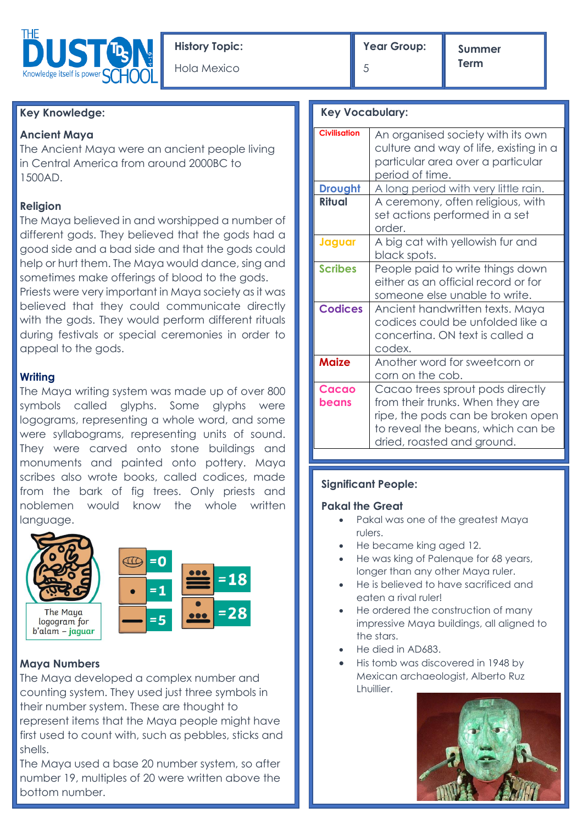

# **Key Knowledge:**

## **Ancient Maya**

The Ancient Maya were an ancient people living in Central America from around 2000BC to 1500AD.

## **Religion**

The Maya believed in and worshipped a number of different gods. They believed that the gods had a good side and a bad side and that the gods could help or hurt them. The Maya would dance, sing and sometimes make offerings of blood to the gods.

Priests were very important in Maya society as it was believed that they could communicate directly with the gods. They would perform different rituals during festivals or special ceremonies in order to appeal to the gods.

### **Writing**

The Maya writing system was made up of over 800 symbols called glyphs. Some glyphs were logograms, representing a whole word, and some were syllabograms, representing units of sound. They were carved onto stone buildings and monuments and painted onto pottery. Maya scribes also wrote books, called codices, made from the bark of fig trees. Only priests and noblemen would know the whole written language.



### **Maya Numbers**

The Maya developed a complex number and counting system. They used just three symbols in their number system. These are thought to represent items that the Maya people might have first used to count with, such as pebbles, sticks and shells.

The Maya used a base 20 number system, so after number 19, multiples of 20 were written above the bottom number.

5

**Summer Term**

|  | <b>Key Vocabulary:</b> |  |
|--|------------------------|--|
|--|------------------------|--|

| <b>Civilisation</b> | An organised society with its own<br>culture and way of life, existing in a<br>particular area over a particular<br>period of time.                                          |
|---------------------|------------------------------------------------------------------------------------------------------------------------------------------------------------------------------|
| <b>Drought</b>      | A long period with very little rain.                                                                                                                                         |
| <b>Ritual</b>       | A ceremony, often religious, with<br>set actions performed in a set<br>order.                                                                                                |
| Jaguar              | A big cat with yellowish fur and<br>black spots.                                                                                                                             |
| <b>Scribes</b>      | People paid to write things down<br>either as an official record or for<br>someone else unable to write.                                                                     |
| <b>Codices</b>      | Ancient handwritten texts. Maya<br>codices could be unfolded like a<br>concertina. ON text is called a<br>codex.                                                             |
| <b>Maize</b>        | Another word for sweetcorn or<br>corn on the cob.                                                                                                                            |
| Cacao<br>beans      | Cacao trees sprout pods directly<br>from their trunks. When they are<br>ripe, the pods can be broken open<br>to reveal the beans, which can be<br>dried, roasted and ground. |

### **Significant People:**

### **Pakal the Great**

- Pakal was one of the greatest Maya rulers.
- He became king aged 12.
- He was king of Palenque for 68 years, longer than any other Maya ruler.
- He is believed to have sacrificed and eaten a rival ruler!
- He ordered the construction of many impressive Maya buildings, all aligned to the stars.
- He died in AD683.
- His tomb was discovered in 1948 by Mexican archaeologist, Alberto Ruz Lhuillier.